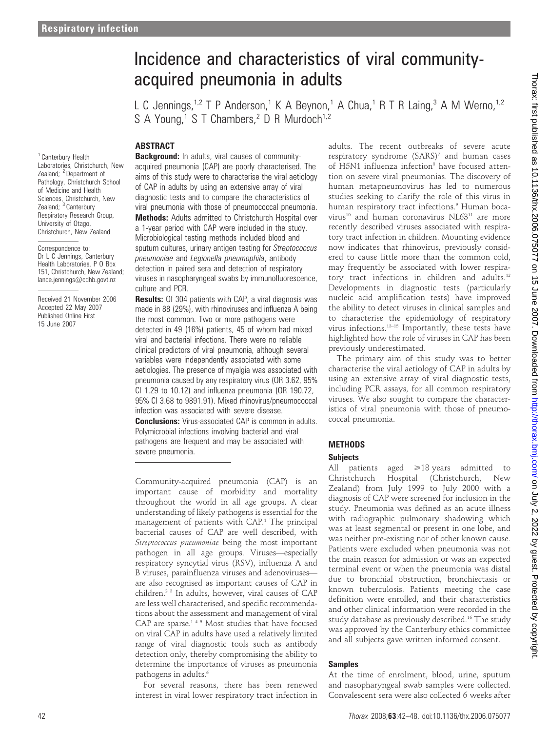# Incidence and characteristics of viral communityacquired pneumonia in adults

L C Jennings,<sup>1,2</sup> T P Anderson,<sup>1</sup> K A Beynon,<sup>1</sup> A Chua,<sup>1</sup> R T R Laing,<sup>3</sup> A M Werno,<sup>1,2</sup> S A Young,<sup>1</sup> S T Chambers,<sup>2</sup> D R Murdoch<sup>1,2</sup>

### ABSTRACT

<sup>1</sup> Canterbury Health Laboratories, Christchurch, New Zealand; <sup>2</sup> Department of Pathology, Christchurch School of Medicine and Health Sciences, Christchurch, New Zealand; <sup>3</sup> Canterbury Respiratory Research Group, University of Otago, Christchurch, New Zealand

#### Correspondence to:

Dr L C Jennings, Canterbury Health Laboratories, P O Box 151, Christchurch, New Zealand; lance.jennings@cdhb.govt.nz

Received 21 November 2006 Accepted 22 May 2007 Published Online First 15 June 2007

**Background:** In adults, viral causes of communityacquired pneumonia (CAP) are poorly characterised. The aims of this study were to characterise the viral aetiology of CAP in adults by using an extensive array of viral diagnostic tests and to compare the characteristics of viral pneumonia with those of pneumococcal pneumonia. **Methods:** Adults admitted to Christchurch Hospital over

a 1-year period with CAP were included in the study. Microbiological testing methods included blood and sputum cultures, urinary antigen testing for Streptococcus pneumoniae and Legionella pneumophila, antibody detection in paired sera and detection of respiratory viruses in nasopharyngeal swabs by immunofluorescence, culture and PCR.

**Results:** Of 304 patients with CAP, a viral diagnosis was made in 88 (29%), with rhinoviruses and influenza A being the most common. Two or more pathogens were detected in 49 (16%) patients, 45 of whom had mixed viral and bacterial infections. There were no reliable clinical predictors of viral pneumonia, although several variables were independently associated with some aetiologies. The presence of myalgia was associated with pneumonia caused by any respiratory virus (OR 3.62, 95% CI 1.29 to 10.12) and influenza pneumonia (OR 190.72, 95% CI 3.68 to 9891.91). Mixed rhinovirus/pneumococcal infection was associated with severe disease.

**Conclusions:** Virus-associated CAP is common in adults. Polymicrobial infections involving bacterial and viral pathogens are frequent and may be associated with severe pneumonia.

Community-acquired pneumonia (CAP) is an important cause of morbidity and mortality throughout the world in all age groups. A clear understanding of likely pathogens is essential for the management of patients with CAP.<sup>1</sup> The principal bacterial causes of CAP are well described, with Streptococcus pneumoniae being the most important pathogen in all age groups. Viruses—especially respiratory syncytial virus (RSV), influenza A and B viruses, parainfluenza viruses and adenoviruses are also recognised as important causes of CAP in children.2 3 In adults, however, viral causes of CAP are less well characterised, and specific recommendations about the assessment and management of viral CAP are sparse.<sup>145</sup> Most studies that have focused on viral CAP in adults have used a relatively limited range of viral diagnostic tools such as antibody detection only, thereby compromising the ability to determine the importance of viruses as pneumonia pathogens in adults.<sup>6</sup>

For several reasons, there has been renewed interest in viral lower respiratory tract infection in adults. The recent outbreaks of severe acute respiratory syndrome  $(SARS)^7$  and human cases of H5N1 influenza infection<sup>8</sup> have focused attention on severe viral pneumonias. The discovery of human metapneumovirus has led to numerous studies seeking to clarify the role of this virus in human respiratory tract infections.<sup>9</sup> Human bocavirus<sup>10</sup> and human coronavirus NL63<sup>11</sup> are more recently described viruses associated with respiratory tract infection in children. Mounting evidence now indicates that rhinovirus, previously considered to cause little more than the common cold, may frequently be associated with lower respiratory tract infections in children and adults.<sup>12</sup> Developments in diagnostic tests (particularly nucleic acid amplification tests) have improved the ability to detect viruses in clinical samples and to characterise the epidemiology of respiratory virus infections.13–15 Importantly, these tests have highlighted how the role of viruses in CAP has been previously underestimated.

The primary aim of this study was to better characterise the viral aetiology of CAP in adults by using an extensive array of viral diagnostic tests, including PCR assays, for all common respiratory viruses. We also sought to compare the characteristics of viral pneumonia with those of pneumococcal pneumonia.

## **METHODS**

#### **Subjects**

All patients aged  $\geq 18$  years admitted to Christchurch Hospital (Christchurch, New Zealand) from July 1999 to July 2000 with a diagnosis of CAP were screened for inclusion in the study. Pneumonia was defined as an acute illness with radiographic pulmonary shadowing which was at least segmental or present in one lobe, and was neither pre-existing nor of other known cause. Patients were excluded when pneumonia was not the main reason for admission or was an expected terminal event or when the pneumonia was distal due to bronchial obstruction, bronchiectasis or known tuberculosis. Patients meeting the case definition were enrolled, and their characteristics and other clinical information were recorded in the study database as previously described.<sup>16</sup> The study was approved by the Canterbury ethics committee and all subjects gave written informed consent.

#### Samples

At the time of enrolment, blood, urine, sputum and nasopharyngeal swab samples were collected. Convalescent sera were also collected 6 weeks after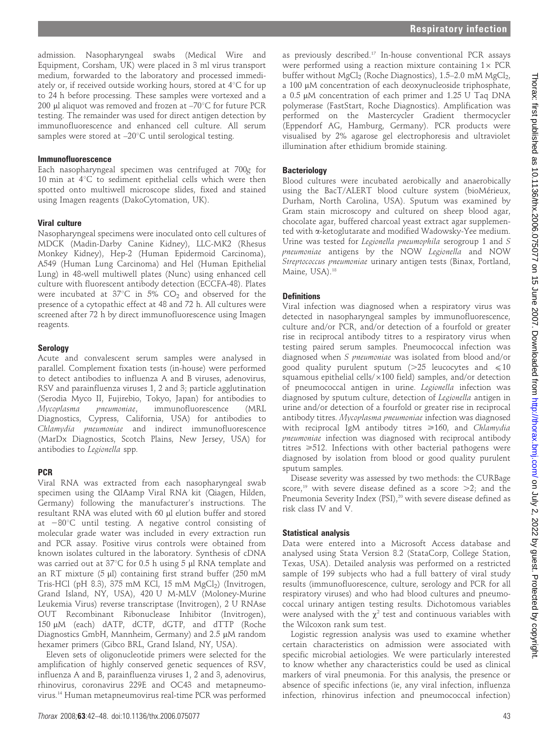admission. Nasopharyngeal swabs (Medical Wire and Equipment, Corsham, UK) were placed in 3 ml virus transport medium, forwarded to the laboratory and processed immediately or, if received outside working hours, stored at  $4^{\circ}$ C for up to 24 h before processing. These samples were vortexed and a 200 µl aliquot was removed and frozen at  $-70^{\circ}$ C for future PCR testing. The remainder was used for direct antigen detection by immunofluorescence and enhanced cell culture. All serum samples were stored at  $-20^{\circ}$ C until serological testing.

#### **Immunofluorescence**

Each nasopharyngeal specimen was centrifuged at 700g for 10 min at  $4^{\circ}$ C to sediment epithelial cells which were then spotted onto multiwell microscope slides, fixed and stained using Imagen reagents (DakoCytomation, UK).

#### Viral culture

Nasopharyngeal specimens were inoculated onto cell cultures of MDCK (Madin-Darby Canine Kidney), LLC-MK2 (Rhesus Monkey Kidney), Hep-2 (Human Epidermoid Carcinoma), A549 (Human Lung Carcinoma) and Hel (Human Epithelial Lung) in 48-well multiwell plates (Nunc) using enhanced cell culture with fluorescent antibody detection (ECCFA-48). Plates were incubated at  $37^{\circ}$ C in  $5\%$  CO<sub>2</sub> and observed for the presence of a cytopathic effect at 48 and 72 h. All cultures were screened after 72 h by direct immunofluorescence using Imagen reagents.

#### Serology

Acute and convalescent serum samples were analysed in parallel. Complement fixation tests (in-house) were performed to detect antibodies to influenza A and B viruses, adenovirus, RSV and parainfluenza viruses 1, 2 and 3; particle agglutination (Serodia Myco II, Fujirebio, Tokyo, Japan) for antibodies to Mycoplasma pneumoniae, immunofluorescence (MRL Diagnostics, Cypress, California, USA) for antibodies to Chlamydia pneumoniae and indirect immunofluorescence (MarDx Diagnostics, Scotch Plains, New Jersey, USA) for antibodies to Legionella spp.

#### **PCR**

Viral RNA was extracted from each nasopharyngeal swab specimen using the QIAamp Viral RNA kit (Qiagen, Hilden, Germany) following the manufacturer's instructions. The resultant RNA was eluted with 60 µl elution buffer and stored at  $-80^{\circ}$ C until testing. A negative control consisting of molecular grade water was included in every extraction run and PCR assay. Positive virus controls were obtained from known isolates cultured in the laboratory. Synthesis of cDNA was carried out at  $37^{\circ}$ C for 0.5 h using 5 µl RNA template and an RT mixture (5  $\mu$ I) containing first strand buffer (250 mM Tris-HCl (pH 8.3), 375 mM KCl, 15 mM MgCl<sub>2</sub>) (Invitrogen, Grand Island, NY, USA), 420 U M-MLV (Moloney-Murine Leukemia Virus) reverse transcriptase (Invitrogen), 2 U RNAse OUT Recombinant Ribonuclease Inhibitor (Invitrogen), 150 mM (each) dATP, dCTP, dGTP, and dTTP (Roche Diagnostics GmbH, Mannheim, Germany) and 2.5 µM random hexamer primers (Gibco BRL, Grand Island, NY, USA).

Eleven sets of oligonucleotide primers were selected for the amplification of highly conserved genetic sequences of RSV, influenza A and B, parainfluenza viruses 1, 2 and 3, adenovirus, rhinovirus, coronavirus 229E and OC43 and metapneumovirus.14 Human metapneumovirus real-time PCR was performed

as previously described.17 In-house conventional PCR assays were performed using a reaction mixture containing  $1 \times PCR$ buffer without  $MgCl<sub>2</sub>$  (Roche Diagnostics), 1.5–2.0 mM  $MgCl<sub>2</sub>$ , a 100 µM concentration of each deoxynucleoside triphosphate, a 0.5 µM concentration of each primer and 1.25 U Tag DNA polymerase (FastStart, Roche Diagnostics). Amplification was performed on the Mastercycler Gradient thermocycler (Eppendorf AG, Hamburg, Germany). PCR products were visualised by 2% agarose gel electrophoresis and ultraviolet illumination after ethidium bromide staining.

#### **Bacteriology**

Blood cultures were incubated aerobically and anaerobically using the BacT/ALERT blood culture system (bioMérieux, Durham, North Carolina, USA). Sputum was examined by Gram stain microscopy and cultured on sheep blood agar, chocolate agar, buffered charcoal yeast extract agar supplemented with a-ketoglutarate and modified Wadowsky-Yee medium. Urine was tested for Legionella pneumophila serogroup 1 and S pneumoniae antigens by the NOW Legionella and NOW Streptococcus pneumoniae urinary antigen tests (Binax, Portland, Maine, USA).<sup>18</sup>

#### **Definitions**

Viral infection was diagnosed when a respiratory virus was detected in nasopharyngeal samples by immunofluorescence, culture and/or PCR, and/or detection of a fourfold or greater rise in reciprocal antibody titres to a respiratory virus when testing paired serum samples. Pneumococcal infection was diagnosed when S pneumoniae was isolated from blood and/or good quality purulent sputum ( $>25$  leucocytes and  $\leq 10$ squamous epithelial cells/ $\times$ 100 field) samples, and/or detection of pneumococcal antigen in urine. Legionella infection was diagnosed by sputum culture, detection of Legionella antigen in urine and/or detection of a fourfold or greater rise in reciprocal antibody titres. Mycoplasma pneumoniae infection was diagnosed with reciprocal IgM antibody titres  $\geq 160$ , and Chlamydia pneumoniae infection was diagnosed with reciprocal antibody titres  $\geq 512$ . Infections with other bacterial pathogens were diagnosed by isolation from blood or good quality purulent sputum samples.

Disease severity was assessed by two methods: the CURBage score,<sup>19</sup> with severe disease defined as a score  $>2$ ; and the Pneumonia Severity Index (PSI),<sup>20</sup> with severe disease defined as risk class IV and V.

#### Statistical analysis

Data were entered into a Microsoft Access database and analysed using Stata Version 8.2 (StataCorp, College Station, Texas, USA). Detailed analysis was performed on a restricted sample of 199 subjects who had a full battery of viral study results (immunofluorescence, culture, serology and PCR for all respiratory viruses) and who had blood cultures and pneumococcal urinary antigen testing results. Dichotomous variables were analysed with the  $\chi^2$  test and continuous variables with the Wilcoxon rank sum test.

Logistic regression analysis was used to examine whether certain characteristics on admission were associated with specific microbial aetiologies. We were particularly interested to know whether any characteristics could be used as clinical markers of viral pneumonia. For this analysis, the presence or absence of specific infections (ie, any viral infection, influenza infection, rhinovirus infection and pneumococcal infection)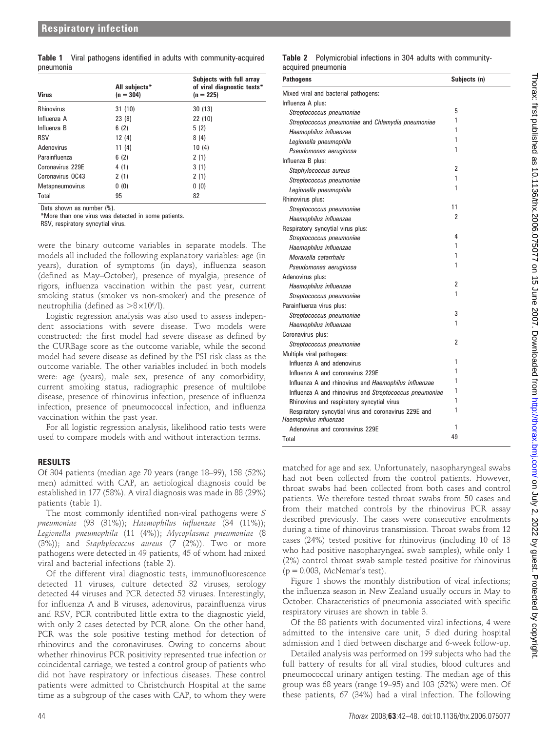|           |  |  |  | <b>Table 1</b> Viral pathogens identified in adults with community-acquired |
|-----------|--|--|--|-----------------------------------------------------------------------------|
| pneumonia |  |  |  |                                                                             |

| <b>Virus</b>      | All subjects*<br>$(n = 304)$ | Subjects with full array<br>of viral diagnostic tests*<br>$(n = 225)$ |
|-------------------|------------------------------|-----------------------------------------------------------------------|
| <b>Rhinovirus</b> | 31(10)                       | 30(13)                                                                |
| Influenza A       | 23(8)                        | 22(10)                                                                |
| Influenza B       | 6(2)                         | 5(2)                                                                  |
| <b>RSV</b>        | 12(4)                        | 8(4)                                                                  |
| Adenovirus        | 11(4)                        | 10(4)                                                                 |
| Parainfluenza     | 6(2)                         | 2(1)                                                                  |
| Coronavirus 229E  | 4(1)                         | 3(1)                                                                  |
| Coronavirus OC43  | 2(1)                         | 2(1)                                                                  |
| Metapneumovirus   | 0(0)                         | 0(0)                                                                  |
| Total             | 95                           | 82                                                                    |

Data shown as number (%).

\*More than one virus was detected in some patients.

RSV, respiratory syncytial virus.

were the binary outcome variables in separate models. The models all included the following explanatory variables: age (in years), duration of symptoms (in days), influenza season (defined as May–October), presence of myalgia, presence of rigors, influenza vaccination within the past year, current smoking status (smoker vs non-smoker) and the presence of neutrophilia (defined as  $>$ 8 $\times10^6$ /l).

Logistic regression analysis was also used to assess independent associations with severe disease. Two models were constructed: the first model had severe disease as defined by the CURBage score as the outcome variable, while the second model had severe disease as defined by the PSI risk class as the outcome variable. The other variables included in both models were: age (years), male sex, presence of any comorbidity, current smoking status, radiographic presence of multilobe disease, presence of rhinovirus infection, presence of influenza infection, presence of pneumococcal infection, and influenza vaccination within the past year.

For all logistic regression analysis, likelihood ratio tests were used to compare models with and without interaction terms.

#### RESULTS

Of 304 patients (median age 70 years (range 18–99), 158 (52%) men) admitted with CAP, an aetiological diagnosis could be established in 177 (58%). A viral diagnosis was made in 88 (29%) patients (table 1).

The most commonly identified non-viral pathogens were S pneumoniae (93 (31%)); Haemophilus influenzae (34 (11%)); Legionella pneumophila (11 (4%)); Mycoplasma pneumoniae (8 (3%)); and Staphylococcus aureus (7 (2%)). Two or more pathogens were detected in 49 patients, 45 of whom had mixed viral and bacterial infections (table 2).

Of the different viral diagnostic tests, immunofluorescence detected 11 viruses, culture detected 32 viruses, serology detected 44 viruses and PCR detected 52 viruses. Interestingly, for influenza A and B viruses, adenovirus, parainfluenza virus and RSV, PCR contributed little extra to the diagnostic yield, with only 2 cases detected by PCR alone. On the other hand, PCR was the sole positive testing method for detection of rhinovirus and the coronaviruses. Owing to concerns about whether rhinovirus PCR positivity represented true infection or coincidental carriage, we tested a control group of patients who did not have respiratory or infectious diseases. These control patients were admitted to Christchurch Hospital at the same time as a subgroup of the cases with CAP, to whom they were

Table 2 Polymicrobial infections in 304 adults with communityacquired pneumonia

| <b>Pathogens</b>                                                               | Subjects (n) |
|--------------------------------------------------------------------------------|--------------|
| Mixed viral and bacterial pathogens:                                           |              |
| Influenza A plus:                                                              |              |
| Streptococcus pneumoniae                                                       | 5            |
| Streptococcus pneumoniae and Chlamydia pneumoniae                              | 1            |
| Haemophilus influenzae                                                         | 1            |
| Legionella pneumophila                                                         | 1            |
| Pseudomonas aeruginosa                                                         | 1            |
| Influenza B plus:                                                              |              |
| Staphylococcus aureus                                                          | 2            |
| Streptococcus pneumoniae                                                       | 1            |
| Legionella pneumophila                                                         | 1            |
| Rhinovirus plus:                                                               |              |
| Streptococcus pneumoniae                                                       | 11           |
| Haemophilus influenzae                                                         | 2            |
| Respiratory syncytial virus plus:                                              |              |
| Streptococcus pneumoniae                                                       | 4            |
| Haemophilus influenzae                                                         | 1            |
| Moraxella catarrhalis                                                          | 1            |
| Pseudomonas aeruginosa                                                         | 1            |
| Adenovirus plus:                                                               |              |
| Haemophilus influenzae                                                         | 2            |
| Streptococcus pneumoniae                                                       | 1            |
| Parainfluenza virus plus:                                                      |              |
| Streptococcus pneumoniae                                                       | 3            |
| Haemophilus influenzae                                                         | 1            |
| Coronavirus plus:                                                              |              |
| Streptococcus pneumoniae                                                       | 2            |
| Multiple viral pathogens:                                                      |              |
| Influenza A and adenovirus                                                     | 1            |
| Influenza A and coronavirus 229E                                               | 1            |
| Influenza A and rhinovirus and Haemophilus influenzae                          | 1            |
| Influenza A and rhinovirus and Streptococcus pneumoniae                        | 1            |
| Rhinovirus and respiratory syncytial virus                                     | 1            |
| Respiratory syncytial virus and coronavirus 229E and<br>Haemophilus influenzae | 1            |
| Adenovirus and coronavirus 229E                                                | 1            |
| <b>Total</b>                                                                   | 49           |

matched for age and sex. Unfortunately, nasopharyngeal swabs had not been collected from the control patients. However, throat swabs had been collected from both cases and control patients. We therefore tested throat swabs from 50 cases and from their matched controls by the rhinovirus PCR assay described previously. The cases were consecutive enrolments during a time of rhinovirus transmission. Throat swabs from 12 cases (24%) tested positive for rhinovirus (including 10 of 13 who had positive nasopharyngeal swab samples), while only 1 (2%) control throat swab sample tested positive for rhinovirus  $(p = 0.003, \text{McNemar's test}).$ 

Figure 1 shows the monthly distribution of viral infections; the influenza season in New Zealand usually occurs in May to October. Characteristics of pneumonia associated with specific respiratory viruses are shown in table 3.

Of the 88 patients with documented viral infections, 4 were admitted to the intensive care unit, 5 died during hospital admission and 1 died between discharge and 6-week follow-up.

Detailed analysis was performed on 199 subjects who had the full battery of results for all viral studies, blood cultures and pneumococcal urinary antigen testing. The median age of this group was 68 years (range 19–95) and 103 (52%) were men. Of these patients, 67 (34%) had a viral infection. The following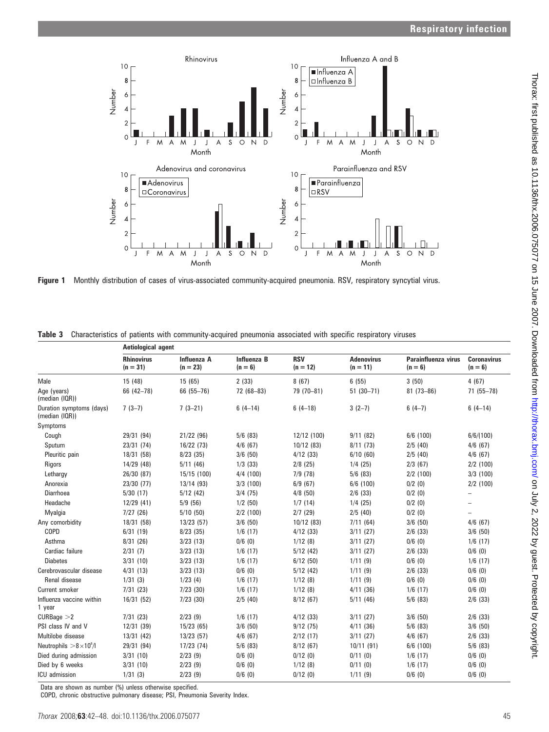

Figure 1 Monthly distribution of cases of virus-associated community-acquired pneumonia. RSV, respiratory syncytial virus.

|                                            | <b>Aetiological agent</b>       |                           |                          |                          |                                 |                                  |                                 |
|--------------------------------------------|---------------------------------|---------------------------|--------------------------|--------------------------|---------------------------------|----------------------------------|---------------------------------|
|                                            | <b>Rhinovirus</b><br>$(n = 31)$ | Influenza A<br>$(n = 23)$ | Influenza B<br>$(n = 6)$ | <b>RSV</b><br>$(n = 12)$ | <b>Adenovirus</b><br>$(n = 11)$ | Parainfluenza virus<br>$(n = 6)$ | <b>Coronavirus</b><br>$(n = 6)$ |
| Male                                       | 15 (48)                         | 15(65)                    | 2(33)                    | 8(67)                    | 6(55)                           | 3(50)                            | 4(67)                           |
| Age (years)<br>(median (IQR))              | 66 (42-78)                      | 66 (55-76)                | 72 (68-83)               | 79 (70-81)               | $51(30 - 71)$                   | $81(73 - 86)$                    | 71 (55-78)                      |
| Duration symptoms (days)<br>(median (IQR)) | $7(3-7)$                        | $7(3-21)$                 | $6(4-14)$                | $6(4-18)$                | $3(2-7)$                        | $6(4-7)$                         | $6(4-14)$                       |
| Symptoms                                   |                                 |                           |                          |                          |                                 |                                  |                                 |
| Cough                                      | 29/31 (94)                      | 21/22 (96)                | $5/6$ (83)               | 12/12 (100)              | 9/11(82)                        | $6/6$ (100)                      | 6/6/(100)                       |
| Sputum                                     | 23/31 (74)                      | 16/22(73)                 | $4/6$ (67)               | 10/12(83)                | 8/11(73)                        | 2/5(40)                          | $4/6$ (67)                      |
| Pleuritic pain                             | 18/31 (58)                      | 8/23(35)                  | $3/6$ (50)               | 4/12(33)                 | 6/10(60)                        | 2/5(40)                          | $4/6$ (67)                      |
| <b>Rigors</b>                              | 14/29(48)                       | 5/11(46)                  | $1/3$ (33)               | $2/8$ (25)               | 1/4(25)                         | 2/3(67)                          | $2/2$ (100)                     |
| Lethargy                                   | 26/30 (87)                      | 15/15 (100)               | 4/4 (100)                | 7/9(78)                  | $5/6$ (83)                      | $2/2$ (100)                      | $3/3$ (100)                     |
| Anorexia                                   | 23/30 (77)                      | 13/14(93)                 | $3/3$ (100)              | 6/9(67)                  | $6/6$ (100)                     | $0/2$ (0)                        | $2/2$ (100)                     |
| Diarrhoea                                  | 5/30(17)                        | 5/12(42)                  | $3/4$ (75)               | $4/8$ (50)               | $2/6$ (33)                      | $0/2$ (0)                        | $\qquad \qquad -$               |
| Headache                                   | 12/29(41)                       | 5/9(56)                   | 1/2(50)                  | 1/7(14)                  | 1/4(25)                         | $0/2$ (0)                        | $\overline{\phantom{m}}$        |
| Myalgia                                    | 7/27(26)                        | 5/10(50)                  | $2/2$ (100)              | 2/7(29)                  | 2/5(40)                         | $0/2$ (0)                        | $\qquad \qquad -$               |
| Any comorbidity                            | 18/31 (58)                      | 13/23(57)                 | $3/6$ (50)               | 10/12(83)                | 7/11(64)                        | $3/6$ (50)                       | $4/6$ (67)                      |
| COPD                                       | 6/31(19)                        | 8/23(35)                  | $1/6$ (17)               | 4/12(33)                 | 3/11(27)                        | $2/6$ (33)                       | $3/6$ (50)                      |
| Asthma                                     | 8/31(26)                        | 3/23(13)                  | $0/6$ (0)                | 1/12(8)                  | 3/11(27)                        | $0/6$ (0)                        | $1/6$ (17)                      |
| Cardiac failure                            | 2/31(7)                         | $3/23$ (13)               | $1/6$ (17)               | 5/12(42)                 | 3/11(27)                        | $2/6$ (33)                       | $0/6$ (0)                       |
| <b>Diabetes</b>                            | 3/31(10)                        | $3/23$ (13)               | $1/6$ (17)               | 6/12(50)                 | 1/11(9)                         | $0/6$ (0)                        | $1/6$ (17)                      |
| Cerebrovascular disease                    | 4/31(13)                        | $3/23$ (13)               | $0/6$ (0)                | 5/12(42)                 | 1/11(9)                         | $2/6$ (33)                       | $0/6$ (0)                       |
| Renal disease                              | 1/31(3)                         | 1/23(4)                   | $1/6$ (17)               | 1/12(8)                  | 1/11(9)                         | $0/6$ (0)                        | $0/6$ (0)                       |
| Current smoker                             | 7/31(23)                        | 7/23(30)                  | $1/6$ (17)               | 1/12(8)                  | 4/11(36)                        | $1/6$ (17)                       | $0/6$ (0)                       |
| Influenza vaccine within<br>1 year         | 16/31(52)                       | 7/23(30)                  | 2/5(40)                  | 8/12(67)                 | 5/11(46)                        | $5/6$ (83)                       | $2/6$ (33)                      |
| CURBage > 2                                | 7/31(23)                        | 2/23(9)                   | $1/6$ (17)               | 4/12(33)                 | 3/11(27)                        | $3/6$ (50)                       | $2/6$ (33)                      |
| PSI class IV and V                         | 12/31(39)                       | 15/23(65)                 | $3/6$ (50)               | 9/12(75)                 | 4/11(36)                        | $5/6$ (83)                       | $3/6$ (50)                      |
| Multilobe disease                          | 13/31(42)                       | 13/23(57)                 | 4/6(67)                  | 2/12(17)                 | 3/11(27)                        | 4/6(67)                          | $2/6$ (33)                      |
| Neutrophils $>8\times10^{6}/I$             | 29/31 (94)                      | 17/23(74)                 | 5/6(83)                  | 8/12(67)                 | 10/11(91)                       | $6/6$ (100)                      | $5/6$ (83)                      |
| Died during admission                      | 3/31(10)                        | $2/23$ (9)                | $0/6$ (0)                | 0/12(0)                  | 0/11(0)                         | 1/6(17)                          | $0/6$ (0)                       |
| Died by 6 weeks                            | 3/31(10)                        | $2/23$ (9)                | $0/6$ (0)                | 1/12(8)                  | 0/11(0)                         | $1/6$ (17)                       | $0/6$ (0)                       |
| <b>ICU</b> admission                       | 1/31(3)                         | $2/23$ (9)                | $0/6$ (0)                | 0/12(0)                  | 1/11(9)                         | $0/6$ (0)                        | $0/6$ (0)                       |

Table 3 Characteristics of patients with community-acquired pneumonia associated with specific respiratory viruses

Data are shown as number (%) unless otherwise specified.

COPD, chronic obstructive pulmonary disease; PSI, Pneumonia Severity Index.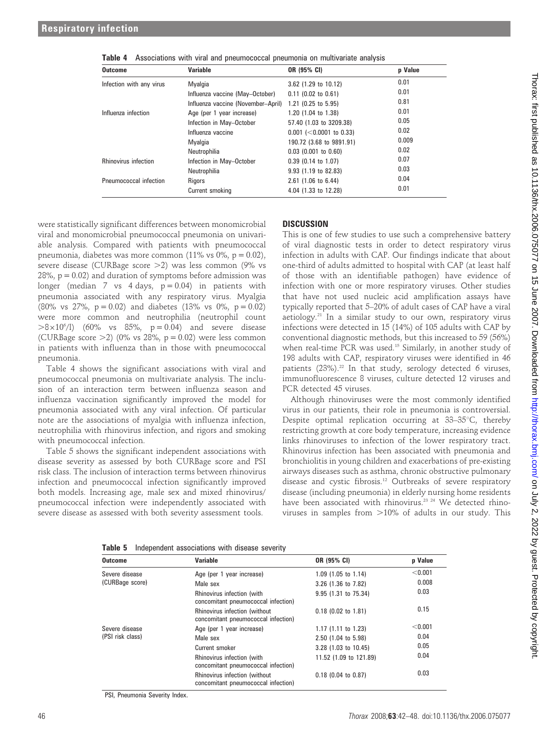|  |  |  |  |  | Table 4 Associations with viral and pneumococcal pneumonia on multivariate analysis |
|--|--|--|--|--|-------------------------------------------------------------------------------------|
|--|--|--|--|--|-------------------------------------------------------------------------------------|

| <b>Outcome</b>              | <b>Variable</b>                    | OR (95% CI)               | p Value |
|-----------------------------|------------------------------------|---------------------------|---------|
| Infection with any virus    | Myalgia                            | 3.62 (1.29 to 10.12)      | 0.01    |
|                             | Influenza vaccine (May-October)    | $0.11$ (0.02 to 0.61)     | 0.01    |
|                             | Influenza vaccine (November-April) | 1.21 (0.25 to 5.95)       | 0.81    |
| Influenza infection         | Age (per 1 year increase)          | 1.20 (1.04 to 1.38)       | 0.01    |
|                             | Infection in May-October           | 57.40 (1.03 to 3209.38)   | 0.05    |
|                             | Influenza vaccine                  | $0.001$ (<0.0001 to 0.33) | 0.02    |
|                             | Myalgia                            | 190.72 (3.68 to 9891.91)  | 0.009   |
|                             | Neutrophilia                       | $0.03$ (0.001 to 0.60)    | 0.02    |
| <b>Rhinovirus infection</b> | Infection in May-October           | $0.39$ (0.14 to 1.07)     | 0.07    |
|                             | Neutrophilia                       | 9.93 (1.19 to 82.83)      | 0.03    |
| Pneumococcal infection      | Rigors                             | 2.61 (1.06 to 6.44)       | 0.04    |
|                             | Current smoking                    | 4.04 (1.33 to 12.28)      | 0.01    |

 on July 2, 2022 by guest. Protected by copyright. <http://thorax.bmj.com/> Thorax: first published as 10.1136/thx.2006.075077 on 15 June 2007. Downloaded from Thorax: first published as 10.1136/thx.2006.075077 on 15 June 2007. Downloaded from http://thorax.bmj.com/ on July 2, 2022 by guest. Protected by copyright

were statistically significant differences between monomicrobial viral and monomicrobial pneumococcal pneumonia on univariable analysis. Compared with patients with pneumococcal pneumonia, diabetes was more common (11% vs 0%,  $p = 0.02$ ), severe disease (CURBage score  $>2$ ) was less common (9% vs 28%,  $p = 0.02$ ) and duration of symptoms before admission was longer (median 7 vs 4 days,  $p = 0.04$ ) in patients with pneumonia associated with any respiratory virus. Myalgia (80% vs 27%,  $p = 0.02$ ) and diabetes (13% vs 0%,  $p = 0.02$ ) were more common and neutrophilia (neutrophil count  $>8\times10^{6}/l$ ) (60% vs 85%, p = 0.04) and severe disease (CURBage score  $>2$ ) (0% vs 28%, p = 0.02) were less common in patients with influenza than in those with pneumococcal pneumonia.

Table 4 shows the significant associations with viral and pneumococcal pneumonia on multivariate analysis. The inclusion of an interaction term between influenza season and influenza vaccination significantly improved the model for pneumonia associated with any viral infection. Of particular note are the associations of myalgia with influenza infection, neutrophilia with rhinovirus infection, and rigors and smoking with pneumococcal infection.

Table 5 shows the significant independent associations with disease severity as assessed by both CURBage score and PSI risk class. The inclusion of interaction terms between rhinovirus infection and pneumococcal infection significantly improved both models. Increasing age, male sex and mixed rhinovirus/ pneumococcal infection were independently associated with severe disease as assessed with both severity assessment tools.

#### **DISCUSSION**

This is one of few studies to use such a comprehensive battery of viral diagnostic tests in order to detect respiratory virus infection in adults with CAP. Our findings indicate that about one-third of adults admitted to hospital with CAP (at least half of those with an identifiable pathogen) have evidence of infection with one or more respiratory viruses. Other studies that have not used nucleic acid amplification assays have typically reported that 5–20% of adult cases of CAP have a viral aetiology.<sup>21</sup> In a similar study to our own, respiratory virus infections were detected in 15 (14%) of 105 adults with CAP by conventional diagnostic methods, but this increased to 59 (56%) when real-time PCR was used.<sup>15</sup> Similarly, in another study of 198 adults with CAP, respiratory viruses were identified in 46 patients  $(23\%)$ .<sup>22</sup> In that study, serology detected 6 viruses, immunofluorescence 8 viruses, culture detected 12 viruses and PCR detected 45 viruses.

Although rhinoviruses were the most commonly identified virus in our patients, their role in pneumonia is controversial. Despite optimal replication occurring at  $33-35^{\circ}C$ , thereby restricting growth at core body temperature, increasing evidence links rhinoviruses to infection of the lower respiratory tract. Rhinovirus infection has been associated with pneumonia and bronchiolitis in young children and exacerbations of pre-existing airways diseases such as asthma, chronic obstructive pulmonary disease and cystic fibrosis.12 Outbreaks of severe respiratory disease (including pneumonia) in elderly nursing home residents have been associated with rhinovirus.<sup>23 24</sup> We detected rhinoviruses in samples from  $>10\%$  of adults in our study. This

| <b>Table 5</b> Independent associations with disease severity |  |  |  |  |  |  |
|---------------------------------------------------------------|--|--|--|--|--|--|
|---------------------------------------------------------------|--|--|--|--|--|--|

| <b>Outcome</b>   | Variable                                                                     | OR (95% CI)            | p Value |
|------------------|------------------------------------------------------------------------------|------------------------|---------|
| Severe disease   | Age (per 1 year increase)                                                    | 1.09 (1.05 to 1.14)    | < 0.001 |
| (CURBage score)  | Male sex                                                                     | 3.26 (1.36 to 7.82)    | 0.008   |
|                  | Rhinovirus infection (with<br>concomitant pneumococcal infection)            | 9.95 (1.31 to 75.34)   | 0.03    |
|                  | <b>Rhinovirus infection (without)</b><br>concomitant pneumococcal infection) | $0.18$ (0.02 to 1.81)  | 0.15    |
| Severe disease   | Age (per 1 year increase)                                                    | $1.17$ (1.11 to 1.23)  | < 0.001 |
| (PSI risk class) | Male sex                                                                     | 2.50 (1.04 to 5.98)    | 0.04    |
|                  | Current smoker                                                               | 3.28 (1.03 to 10.45)   | 0.05    |
|                  | <b>Rhinovirus infection (with)</b><br>concomitant pneumococcal infection)    | 11.52 (1.09 to 121.89) | 0.04    |
|                  | <b>Rhinovirus infection (without)</b><br>concomitant pneumococcal infection) | $0.18$ (0.04 to 0.87)  | 0.03    |

PSI, Pneumonia Severity Index.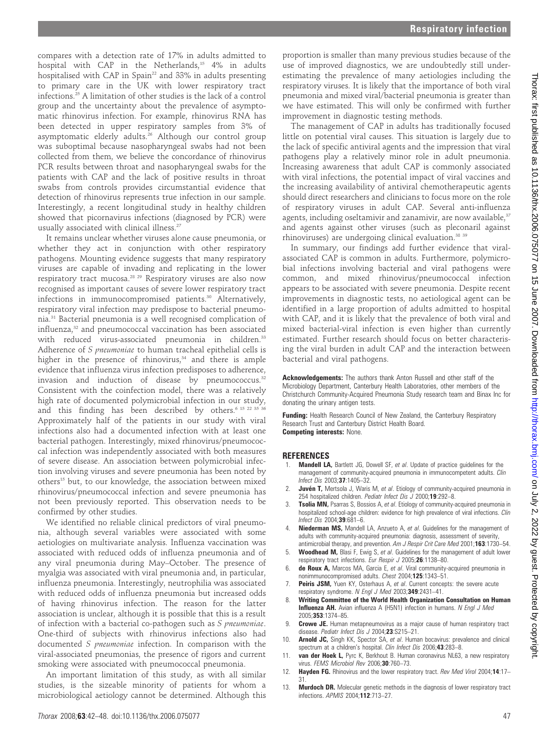compares with a detection rate of 17% in adults admitted to hospital with CAP in the Netherlands,<sup>15</sup> 4% in adults hospitalised with CAP in Spain<sup>22</sup> and  $33\%$  in adults presenting to primary care in the UK with lower respiratory tract infections.25 A limitation of other studies is the lack of a control group and the uncertainty about the prevalence of asymptomatic rhinovirus infection. For example, rhinovirus RNA has been detected in upper respiratory samples from 3% of asymptomatic elderly adults.<sup>26</sup> Although our control group was suboptimal because nasopharyngeal swabs had not been collected from them, we believe the concordance of rhinovirus PCR results between throat and nasopharyngeal swabs for the patients with CAP and the lack of positive results in throat swabs from controls provides circumstantial evidence that detection of rhinovirus represents true infection in our sample. Interestingly, a recent longitudinal study in healthy children showed that picornavirus infections (diagnosed by PCR) were usually associated with clinical illness.<sup>27</sup>

It remains unclear whether viruses alone cause pneumonia, or whether they act in conjunction with other respiratory pathogens. Mounting evidence suggests that many respiratory viruses are capable of invading and replicating in the lower respiratory tract mucosa.28 29 Respiratory viruses are also now recognised as important causes of severe lower respiratory tract infections in immunocompromised patients.<sup>30</sup> Alternatively, respiratory viral infection may predispose to bacterial pneumonia.31 Bacterial pneumonia is a well recognised complication of influenza,<sup>32</sup> and pneumococcal vaccination has been associated with reduced virus-associated pneumonia in children.<sup>33</sup> Adherence of S pneumoniae to human tracheal epithelial cells is higher in the presence of rhinovirus, $34$  and there is ample evidence that influenza virus infection predisposes to adherence, invasion and induction of disease by pneumococcus.<sup>32</sup> Consistent with the coinfection model, there was a relatively high rate of documented polymicrobial infection in our study, and this finding has been described by others.<sup>6 15 22 35</sup> Approximately half of the patients in our study with viral infections also had a documented infection with at least one bacterial pathogen. Interestingly, mixed rhinovirus/pneumococcal infection was independently associated with both measures of severe disease. An association between polymicrobial infection involving viruses and severe pneumonia has been noted by others<sup>15</sup> but, to our knowledge, the association between mixed rhinovirus/pneumococcal infection and severe pneumonia has not been previously reported. This observation needs to be confirmed by other studies.

We identified no reliable clinical predictors of viral pneumonia, although several variables were associated with some aetiologies on multivariate analysis. Influenza vaccination was associated with reduced odds of influenza pneumonia and of any viral pneumonia during May–October. The presence of myalgia was associated with viral pneumonia and, in particular, influenza pneumonia. Interestingly, neutrophilia was associated with reduced odds of influenza pneumonia but increased odds of having rhinovirus infection. The reason for the latter association is unclear, although it is possible that this is a result of infection with a bacterial co-pathogen such as S pneumoniae. One-third of subjects with rhinovirus infections also had documented S pneumoniae infection. In comparison with the viral-associated pneumonias, the presence of rigors and current smoking were associated with pneumococcal pneumonia.

An important limitation of this study, as with all similar studies, is the sizeable minority of patients for whom a microbiological aetiology cannot be determined. Although this

proportion is smaller than many previous studies because of the use of improved diagnostics, we are undoubtedly still underestimating the prevalence of many aetiologies including the respiratory viruses. It is likely that the importance of both viral pneumonia and mixed viral/bacterial pneumonia is greater than we have estimated. This will only be confirmed with further improvement in diagnostic testing methods.

The management of CAP in adults has traditionally focused little on potential viral causes. This situation is largely due to the lack of specific antiviral agents and the impression that viral pathogens play a relatively minor role in adult pneumonia. Increasing awareness that adult CAP is commonly associated with viral infections, the potential impact of viral vaccines and the increasing availability of antiviral chemotherapeutic agents should direct researchers and clinicians to focus more on the role of respiratory viruses in adult CAP. Several anti-influenza agents, including oseltamivir and zanamivir, are now available,<sup>37</sup> and agents against other viruses (such as pleconaril against rhinoviruses) are undergoing clinical evaluation.<sup>38 39</sup>

In summary, our findings add further evidence that viralassociated CAP is common in adults. Furthermore, polymicrobial infections involving bacterial and viral pathogens were common, and mixed rhinovirus/pneumococcal infection appears to be associated with severe pneumonia. Despite recent improvements in diagnostic tests, no aetiological agent can be identified in a large proportion of adults admitted to hospital with CAP, and it is likely that the prevalence of both viral and mixed bacterial-viral infection is even higher than currently estimated. Further research should focus on better characterising the viral burden in adult CAP and the interaction between bacterial and viral pathogens.

Acknowledgements: The authors thank Anton Russell and other staff of the Microbiology Department, Canterbury Health Laboratories, other members of the Christchurch Community-Acquired Pneumonia Study research team and Binax Inc for donating the urinary antigen tests.

Funding: Health Research Council of New Zealand, the Canterbury Respiratory Research Trust and Canterbury District Health Board. Competing interests: None.

#### **REFERENCES**

- Mandell LA, Bartlett JG, Dowell SF, et al. Update of practice guidelines for the management of community-acquired pneumonia in immunocompetent adults. Clin Infect Dis 2003;37:1405–32.
- 2. **Juvén T,** Mertsola J, Waris M, et al. Etiology of community-acquired pneumonia in 254 hospitalized children. Pediatr Infect Dis J 2000;19:292-8.
- Tsolia MN, Psarras S, Bossios A, et al. Etiology of community-acquired pneumonia in hospitalized school-age children: evidence for high prevalence of viral infections. Clin Infect Dis 2004;39:681–6.
- 4. **Niederman MS, Mandell LA, Anzueto A, et al. Guidelines for the management of** adults with community-acquired pneumonia: diagnosis, assessment of severity, antimicrobial therapy, and prevention. Am J Respir Crit Care Med 2001;163:1730-54.
- 5. Woodhead M, Blasi F, Ewig S, et al. Guidelines for the management of adult lower respiratory tract infections. Eur Respir J 2005;26:1138-80.
- 6. **de Roux A,** Marcos MA, Garcia E, et al. Viral community-acquired pneumonia in nonimmunocompromised adults. Chest 2004;125:1343–51.
- 7. **Peiris JSM**, Yuen KY, Osterhaus A, et al. Current concepts: the severe acute respiratory syndrome. N Engl J Med 2003;349:2431-41.
- 8. Writing Committee of the World Health Organization Consultation on Human Influenza AH. Avian influenza A (H5N1) infection in humans. N Engl J Med 2005;353:1374–85.
- 9. Crowe JE. Human metapneumovirus as a major cause of human respiratory tract disease. Pediatr Infect Dis J 2004;23:S215-21.
- 10. **Arnold JC,** Singh KK, Spector SA, et al. Human bocavirus: prevalence and clinical spectrum at a children's hospital. Clin Infect Dis 2006;43:283-8.
- 11. van der Hoek L, Pyrc K, Berkhout B. Human coronavirus NL63, a new respiratory virus. FEMS Microbiol Rev 2006;30:760-73.
- 12. Hayden FG. Rhinovirus and the lower respiratory tract. Rev Med Virol 2004;14:17-31.
- 13. **Murdoch DR.** Molecular genetic methods in the diagnosis of lower respiratory tract infections. APMIS 2004;112:713–27.